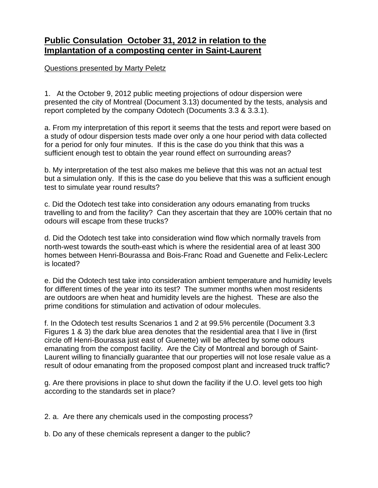## **Public Consulation October 31, 2012 in relation to the Implantation of a composting center in Saint-Laurent**

Questions presented by Marty Peletz

1. At the October 9, 2012 public meeting projections of odour dispersion were presented the city of Montreal (Document 3.13) documented by the tests, analysis and report completed by the company Odotech (Documents 3.3 & 3.3.1).

a. From my interpretation of this report it seems that the tests and report were based on a study of odour dispersion tests made over only a one hour period with data collected for a period for only four minutes. If this is the case do you think that this was a sufficient enough test to obtain the year round effect on surrounding areas?

b. My interpretation of the test also makes me believe that this was not an actual test but a simulation only. If this is the case do you believe that this was a sufficient enough test to simulate year round results?

c. Did the Odotech test take into consideration any odours emanating from trucks travelling to and from the facility? Can they ascertain that they are 100% certain that no odours will escape from these trucks?

d. Did the Odotech test take into consideration wind flow which normally travels from north-west towards the south-east which is where the residential area of at least 300 homes between Henri-Bourassa and Bois-Franc Road and Guenette and Felix-Leclerc is located?

e. Did the Odotech test take into consideration ambient temperature and humidity levels for different times of the year into its test? The summer months when most residents are outdoors are when heat and humidity levels are the highest. These are also the prime conditions for stimulation and activation of odour molecules.

f. In the Odotech test results Scenarios 1 and 2 at 99.5% percentile (Document 3.3 Figures 1 & 3) the dark blue area denotes that the residential area that I live in (first circle off Henri-Bourassa just east of Guenette) will be affected by some odours emanating from the compost facility. Are the City of Montreal and borough of Saint-Laurent willing to financially guarantee that our properties will not lose resale value as a result of odour emanating from the proposed compost plant and increased truck traffic?

g. Are there provisions in place to shut down the facility if the U.O. level gets too high according to the standards set in place?

2. a. Are there any chemicals used in the composting process?

b. Do any of these chemicals represent a danger to the public?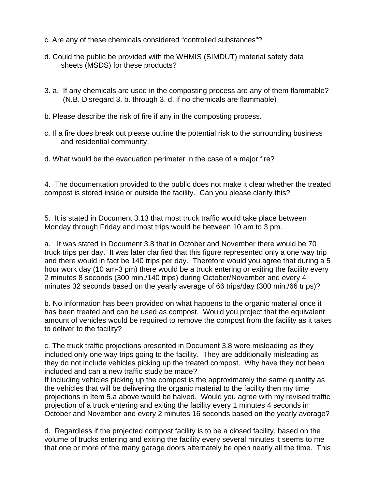- c. Are any of these chemicals considered "controlled substances"?
- d. Could the public be provided with the WHMIS (SIMDUT) material safety data sheets (MSDS) for these products?
- 3. a. If any chemicals are used in the composting process are any of them flammable? (N.B. Disregard 3. b. through 3. d. if no chemicals are flammable)
- b. Please describe the risk of fire if any in the composting process.
- c. If a fire does break out please outline the potential risk to the surrounding business and residential community.
- d. What would be the evacuation perimeter in the case of a major fire?

4. The documentation provided to the public does not make it clear whether the treated compost is stored inside or outside the facility. Can you please clarify this?

5. It is stated in Document 3.13 that most truck traffic would take place between Monday through Friday and most trips would be between 10 am to 3 pm.

a. It was stated in Document 3.8 that in October and November there would be 70 truck trips per day. It was later clarified that this figure represented only a one way trip and there would in fact be 140 trips per day. Therefore would you agree that during a 5 hour work day (10 am-3 pm) there would be a truck entering or exiting the facility every 2 minutes 8 seconds (300 min./140 trips) during October/November and every 4 minutes 32 seconds based on the yearly average of 66 trips/day (300 min./66 trips)?

b. No information has been provided on what happens to the organic material once it has been treated and can be used as compost. Would you project that the equivalent amount of vehicles would be required to remove the compost from the facility as it takes to deliver to the facility?

c. The truck traffic projections presented in Document 3.8 were misleading as they included only one way trips going to the facility. They are additionally misleading as they do not include vehicles picking up the treated compost. Why have they not been included and can a new traffic study be made?

If including vehicles picking up the compost is the approximately the same quantity as the vehicles that will be delivering the organic material to the facility then my time projections in Item 5.a above would be halved. Would you agree with my revised traffic projection of a truck entering and exiting the facility every 1 minutes 4 seconds in October and November and every 2 minutes 16 seconds based on the yearly average?

d. Regardless if the projected compost facility is to be a closed facility, based on the volume of trucks entering and exiting the facility every several minutes it seems to me that one or more of the many garage doors alternately be open nearly all the time. This